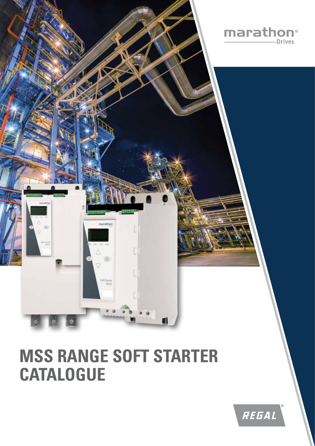

# **MSS RANGE SOFT STARTER CATALOGUE**

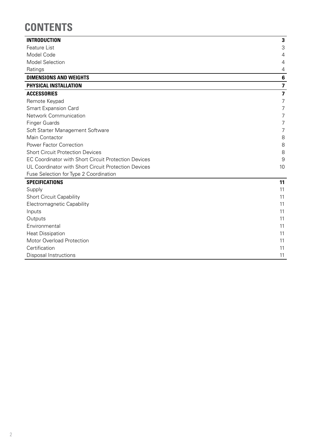## **CONTENTS**

| <b>INTRODUCTION</b>                                         | $\mathbf{3}$            |
|-------------------------------------------------------------|-------------------------|
| Feature List                                                | 3                       |
| Model Code                                                  | 4                       |
| <b>Model Selection</b>                                      | 4                       |
| Ratings                                                     | $\overline{4}$          |
| <b>DIMENSIONS AND WEIGHTS</b>                               | 6                       |
| PHYSICAL INSTALLATION                                       | $\overline{\mathbf{z}}$ |
| <b>ACCESSORIES</b>                                          | $\overline{\mathbf{z}}$ |
| Remote Keypad                                               | 7                       |
| <b>Smart Expansion Card</b>                                 | $\overline{7}$          |
| Network Communication                                       | 7                       |
| <b>Finger Guards</b>                                        | 7                       |
| Soft Starter Management Software                            | 7                       |
| Main Contactor                                              | 8                       |
| <b>Power Factor Correction</b>                              | 8                       |
| <b>Short Circuit Protection Devices</b>                     | 8                       |
| <b>EC Coordinator with Short Circuit Protection Devices</b> | 9                       |
| UL Coordinator with Short Circuit Protection Devices        | 10                      |
| Fuse Selection for Type 2 Coordination                      |                         |
| <b>SPECIFICATIONS</b>                                       | 11                      |
| Supply                                                      | 11                      |
| <b>Short Circuit Capability</b>                             | 11                      |
| Electromagnetic Capability                                  | 11                      |
| Inputs                                                      | 11                      |
| Outputs                                                     | 11                      |
| Environmental                                               | 11                      |
| <b>Heat Dissipation</b>                                     | 11                      |
| Motor Overload Protection                                   | 11                      |
| Certification                                               | 11                      |
| Disposal Instructions                                       | 11                      |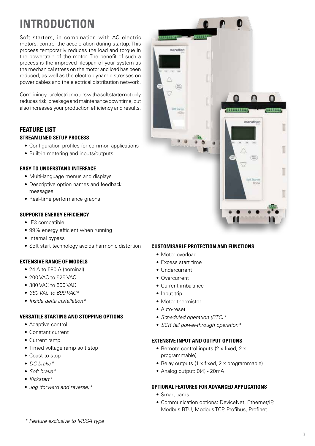## **INTRODUCTION**

Soft starters, in combination with AC electric motors, control the acceleration during startup. This process temporarily reduces the load and torque in the powertrain of the motor. The benefit of such a process is the improved lifespan of your system as the mechanical stress on the motor and load has been reduced, as well as the electro dynamic stresses on power cables and the electrical distribution network.

Combining your electric motors with a soft starter not only reduces risk, breakage and maintenance downtime, but also increases your production efficiency and results.

### **FEATURE LIST STREAMLINED SETUP PROCESS**

- Configuration profiles for common applications
- Built-in metering and inputs/outputs

#### **EASY TO UNDERSTAND INTERFACE**

- Multi-language menus and displays
- Descriptive option names and feedback messages
- Real-time performance graphs

#### **SUPPORTS ENERGY EFFICIENCY**

- IE3 compatible
- 99% energy efficient when running
- Internal bypass
- Soft start technology avoids harmonic distortion

#### **EXTENSIVE RANGE OF MODELS**

- 24 A to 580 A (nominal)
- 200 VAC to 525 VAC
- 380 VAC to 600 VAC
- *380 VAC to 690 VAC\**
- *Inside delta installation\**

#### **VERSATILE STARTING AND STOPPING OPTIONS**

- Adaptive control
- Constant current
- Current ramp
- Timed voltage ramp soft stop
- Coast to stop
- *DC brake\**
- *Soft brake\**
- *Kickstart\**
- *Jog (forward and reverse)\**



#### **CUSTOMISABLE PROTECTION AND FUNCTIONS**

- Motor overload
- Excess start time
- Undercurrent
- Overcurrent
- Current imbalance
- Input trip
- Motor thermistor
- Auto-reset
- *Scheduled operation (RTC)\**
- *SCR fail power-through operation\**

#### **EXTENSIVE INPUT AND OUTPUT OPTIONS**

- Remote control inputs (2 x fixed, 2 x programmable)
- Relay outputs (1 x fixed, 2 x programmable)
- Analog output: 0(4) 20mA

#### **OPTIONAL FEATURES FOR ADVANCED APPLICATIONS**

- Smart cards
- Communication options: DeviceNet, Ethernet/IP, Modbus RTU, Modbus TCP, Profibus, Profinet

*\* Feature exclusive to MSSA type*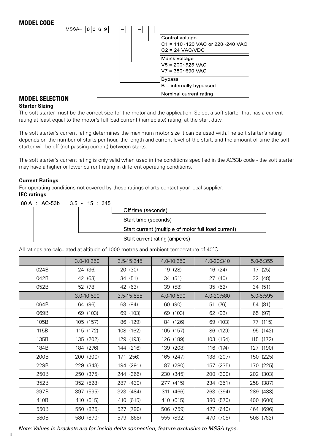

### **MODEL SELECTION**

#### **Starter Sizing**

The soft starter must be the correct size for the motor and the application. Select a soft starter that has a current rating at least equal to the motor's full load current (nameplate) rating, at the start duty.

The soft starter's current rating determines the maximum motor size it can be used with.The soft starter's rating depends on the number of starts per hour, the length and current level of the start, and the amount of time the soft starter will be off (not passing current) between starts.

The soft starter's current rating is only valid when used in the conditions specified in the AC53b code - the soft starter may have a higher or lower current rating in different operating conditions.

#### **Current Ratings**

For operating conditions not covered by these ratings charts contact your local supplier. **IEC ratings**

| 80 A : AC-53b 3.5 - 15 : 345 |  |                                                     |
|------------------------------|--|-----------------------------------------------------|
|                              |  | Off time (seconds)                                  |
|                              |  | Start time (seconds)                                |
|                              |  | Start current (multiple of motor full load current) |
|                              |  | Start current rating (amperes)                      |

All ratings are calculated at altitude of 1000 metres and ambient temperature of 40ºC.

|      | 3.0-10:350 | 3.5-15:345 | 4.0-10:350 | 4.0-20:340 | 5.0-5:355     |
|------|------------|------------|------------|------------|---------------|
| 024B | 24 (36)    | 20 (30)    | 19 (28)    | 16 (24)    | 17 (25)       |
| 042B | 42 (63)    | 34 (51)    | 34 (51)    | 27 (40)    | 32 (48)       |
| 052B | 52 (78)    | 42 (63)    | 39 (58)    | 35 (52)    | 34 (51)       |
|      | 3.0-10:590 | 3.5-15:585 | 4.0-10:590 | 4.0-20:580 | $5.0 - 5:595$ |
| 064B | 64 (96)    | 63 (94)    | 60 (90)    | 51 (76)    | 54 (81)       |
| 069B | 69 (103)   | 69 (103)   | 69 (103)   | 62 (93)    | 65 (97)       |
| 105B | 105 (157)  | 86 (129)   | 84 (126)   | 69 (103)   | 77 (115)      |
| 115B | 115 (172)  | 108 (162)  | 105 (157)  | 86 (129)   | 95 (142)      |
| 135B | 135 (202)  | 129 (193)  | 126 (189)  | 103 (154)  | 115 (172)     |
| 184B | 184 (276)  | 144 (216)  | 139 (208)  | 116 (174)  | 127 (190)     |
| 200B | 200 (300)  | 171 256)   | 165 (247)  | 138 (207)  | 150 (225)     |
| 229B | 229 (343)  | 194 (291)  | 187 (280)  | 157 (235)  | 170 (225)     |
| 250B | 250 (375)  | 244 (366)  | 230 (345)  | 200 (300)  | 202 (303)     |
| 352B | 352 (528)  | 287 (430)  | 277 (415)  | 234 (351)  | 258 (387)     |
| 397B | 397 (595)  | 323 (484)  | 311 (466)  | 263 (394)  | 289 (433)     |
| 410B | 410 (615)  | 410 (615)  | 410 (615)  | 380 (570)  | 400 (600)     |
| 550B | 550 (825)  | 527 (790)  | 506 (759)  | 427 (640)  | 464 (696)     |
| 580B | 580 (870)  | 579 (868)  | 555 (832)  | 470 (705)  | 508 (762)     |

*Note: Values in brackets are for inside delta connection, feature exclusive to MSSA type.*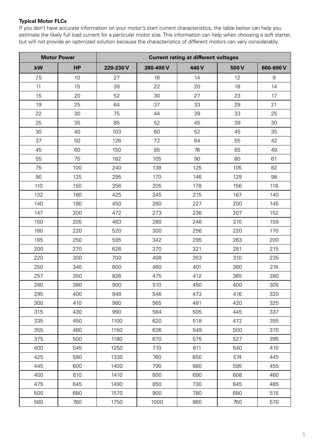#### **Typical Motor FLCs**

If you don't have accurate information on your motor's start current characteristics, the table below can help you estimate the likely full load current for a particular motor size. This information can help when choosing a soft starter, but will not provide an optimized solution because the characteristics of different motors can vary considerably.

|     | <b>Motor Power</b> |          |          | <b>Current rating at different voltages</b> |      |                  |
|-----|--------------------|----------|----------|---------------------------------------------|------|------------------|
| kW  | <b>HP</b>          | 220-230V | 380-400V | 440V                                        | 500V | 660-690 V        |
| 7.5 | 10                 | 27       | 16       | 14                                          | 12   | $\boldsymbol{9}$ |
| 11  | 15                 | 39       | 22       | 20                                          | 18   | 14               |
| 15  | 20                 | 52       | 30       | 27                                          | 23   | 17               |
| 19  | 25                 | 64       | 37       | 33                                          | 29   | 21               |
| 22  | 30                 | 75       | 44       | 39                                          | 33   | 25               |
| 25  | 35                 | 85       | 52       | 45                                          | 39   | 30               |
| 30  | 40                 | 103      | 60       | 52                                          | 45   | 35               |
| 37  | 50                 | 126      | 72       | 64                                          | 55   | 42               |
| 45  | 60                 | 150      | 85       | 76                                          | 65   | 49               |
| 55  | 75                 | 182      | 105      | 90                                          | 80   | 61               |
| 75  | 100                | 240      | 138      | 125                                         | 105  | 82               |
| 90  | 125                | 295      | 170      | 146                                         | 129  | 98               |
| 110 | 150                | 356      | 205      | 178                                         | 156  | 118              |
| 132 | 180                | 425      | 245      | 215                                         | 187  | 140              |
| 140 | 190                | 450      | 260      | 227                                         | 200  | 145              |
| 147 | 200                | 472      | 273      | 236                                         | 207  | 152              |
| 150 | 205                | 483      | 280      | 246                                         | 210  | 159              |
| 160 | 220                | 520      | 300      | 256                                         | 220  | 170              |
| 185 | 250                | 595      | 342      | 295                                         | 263  | 200              |
| 200 | 270                | 626      | 370      | 321                                         | 281  | 215              |
| 220 | 300                | 700      | 408      | 353                                         | 310  | 235              |
| 250 | 340                | 800      | 460      | 401                                         | 360  | 274              |
| 257 | 350                | 826      | 475      | 412                                         | 365  | 280              |
| 280 | 380                | 900      | 510      | 450                                         | 400  | 305              |
| 295 | 400                | 948      | 546      | 473                                         | 416  | 320              |
| 300 | 410                | 980      | 565      | 481                                         | 420  | 325              |
| 315 | 430                | 990      | 584      | 505                                         | 445  | 337              |
| 335 | 450                | 1100     | 620      | 518                                         | 472  | 355              |
| 355 | 480                | 1150     | 636      | 549                                         | 500  | 370              |
| 375 | 500                | 1180     | 670      | 575                                         | 527  | 395              |
| 400 | 545                | 1250     | 710      | 611                                         | 540  | 410              |
| 425 | 580                | 1330     | 760      | 650                                         | 574  | 445              |
| 445 | 600                | 1400     | 790      | 680                                         | 595  | 455              |
| 450 | 610                | 1410     | 800      | 690                                         | 608  | 460              |
| 475 | 645                | 1490     | 850      | 730                                         | 645  | 485              |
| 500 | 680                | 1570     | 900      | 780                                         | 680  | 515              |
| 560 | 760                | 1750     | 1000     | 860                                         | 760  | 570              |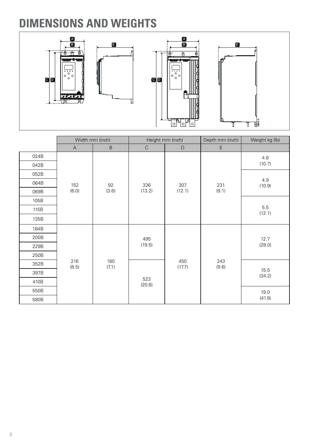## **DIMENSIONS AND WEIGHTS**



|      | Width mm (inch)           |                              | Height mm (inch) |               | Depth mm (inch) | Weight kg (lb) |  |
|------|---------------------------|------------------------------|------------------|---------------|-----------------|----------------|--|
|      | $\boldsymbol{\mathsf{A}}$ | $\sf B$                      | $\mathsf C$      | $\mathsf D$   | E               |                |  |
| 024B |                           |                              |                  |               |                 | 4.8            |  |
| 042B |                           |                              |                  |               |                 | (10.7)         |  |
| 052B |                           |                              |                  |               |                 |                |  |
| 064B | 152                       | 92                           | 336              | 307           | 231             | 4.9<br>(10.9)  |  |
| 069B | (6.0)                     | (3.6)                        | (13.2)           | (12.1)        | (9.1)           |                |  |
| 105B |                           |                              |                  |               |                 |                |  |
| 115B |                           |                              |                  |               |                 | 5.5<br>(12.1)  |  |
| 135B |                           |                              |                  |               |                 |                |  |
| 184B |                           |                              |                  |               |                 |                |  |
| 200B |                           |                              | 495              |               | 243<br>(9.6)    | 12.7           |  |
| 229B |                           |                              | (19.5)           |               |                 | (28.0)         |  |
| 250B |                           |                              |                  |               |                 |                |  |
| 352B |                           | 216<br>180<br>(7.1)<br>(8.5) |                  | 450<br>(17.7) |                 |                |  |
| 397B |                           |                              |                  |               |                 | 15.5<br>(34.2) |  |
| 410B |                           |                              | 523<br>(20.6)    |               |                 |                |  |
| 550B |                           |                              |                  |               |                 | 19.0           |  |
| 580B |                           |                              |                  |               |                 | (41.9)         |  |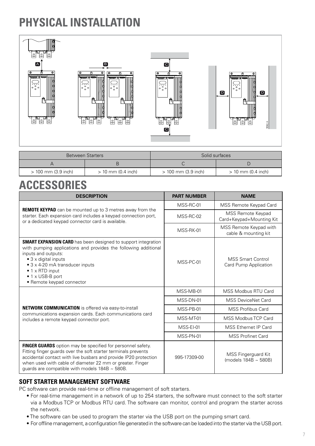## **PHYSICAL INSTALLATION**



|                       | <b>Between Starters</b> |                       | Solid surfaces       |
|-----------------------|-------------------------|-----------------------|----------------------|
|                       |                         |                       |                      |
| $> 100$ mm (3.9 inch) | $> 10$ mm (0.4 inch)    | $> 100$ mm (3.9 inch) | $> 10$ mm (0.4 inch) |

## **ACCESSORIES**

| <b>DESCRIPTION</b>                                                                                                                                                                                                                                                                                                            | <b>PART NUMBER</b> | <b>NAME</b>                                       |
|-------------------------------------------------------------------------------------------------------------------------------------------------------------------------------------------------------------------------------------------------------------------------------------------------------------------------------|--------------------|---------------------------------------------------|
|                                                                                                                                                                                                                                                                                                                               | MSS-RC-01          | MSS Remote Keypad Card                            |
| <b>REMOTE KEYPAD</b> can be mounted up to 3 metres away from the<br>starter. Each expansion card includes a keypad connection port,<br>or a dedicated keypad connector card is available.                                                                                                                                     | MSS-RC-02          | MSS Remote Keypad<br>Card+Keypad+Mounting Kit     |
|                                                                                                                                                                                                                                                                                                                               | MSS-RK-01          | MSS Remote Keypad with<br>cable & mounting kit    |
| <b>SMART EXPANSION CARD</b> has been designed to support integration<br>with pumping applications and provides the following additional<br>inputs and outputs:<br>$\bullet$ 3 x digital inputs<br>• 3 x 4-20 mA transducer inputs<br>$\bullet$ 1 x RTD input<br>$\bullet$ 1 x USB-B port<br>• Remote keypad connector         | MSS-PC-01          | <b>MSS Smart Control</b><br>Card Pump Application |
|                                                                                                                                                                                                                                                                                                                               | MSS-MB-01          | MSS Modbus RTU Card                               |
|                                                                                                                                                                                                                                                                                                                               | MSS-DN-01          | <b>MSS DeviceNet Card</b>                         |
| <b>NETWORK COMMUNICATION</b> is offered via easy-to-install<br>communications expansion cards. Each communications card                                                                                                                                                                                                       | MSS-PB-01          | <b>MSS Profibus Card</b>                          |
| includes a remote keypad connector port.                                                                                                                                                                                                                                                                                      | MSS-MT-01          | MSS Modbus TCP Card                               |
|                                                                                                                                                                                                                                                                                                                               | MSS-EI-01          | MSS Ethernet IP Card                              |
|                                                                                                                                                                                                                                                                                                                               | MSS-PN-01          | <b>MSS Profinet Card</b>                          |
| <b>FINGER GUARDS</b> option may be specified for personnel safety.<br>Fitting finger guards over the soft starter terminals prevents<br>accidental contact with live busbars and provide IP20 protection<br>when used with cable of diameter 22 mm or greater. Finger<br>guards are compatible with models $184B \sim 580B$ . | 995-17309-00       | MSS Fingerguard Kit<br>(models 184B ~ 580B)       |

### **SOFT STARTER MANAGEMENT SOFTWARE**

PC software can provide real-time or offline management of soft starters.

- For real-time management in a network of up to 254 starters, the software must connect to the soft starter via a Modbus TCP or Modbus RTU card. The software can monitor, control and program the starter across the network.
- The software can be used to program the starter via the USB port on the pumping smart card.
- For offline management, a configuration file generated in the software can be loaded into the starter via the USB port.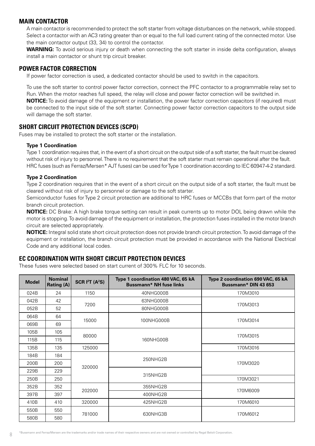#### **MAIN CONTACTOR**

A main contactor is recommended to protect the soft starter from voltage disturbances on the network, while stopped. Select a contactor with an AC3 rating greater than or equal to the full load current rating of the connected motor. Use the main contactor output (33, 34) to control the contactor.

**WARNING:** To avoid serious injury or death when connecting the soft starter in inside delta configuration, always install a main contactor or shunt trip circuit breaker.

#### **POWER FACTOR CORRECTION**

If power factor correction is used, a dedicated contactor should be used to switch in the capacitors.

To use the soft starter to control power factor correction, connect the PFC contactor to a programmable relay set to Run. When the motor reaches full speed, the relay will close and power factor correction will be switched in.

**NOTICE:** To avoid damage of the equipment or installation, the power factor correction capacitors (if required) must be connected to the input side of the soft starter. Connecting power factor correction capacitors to the output side will damage the soft starter.

#### **SHORT CIRCUIT PROTECTION DEVICES (SCPD)**

Fuses may be installed to protect the soft starter or the installation.

#### **Type 1 Coordination**

Type 1 coordination requires that, in the event of a short circuit on the output side of a soft starter, the fault must be cleared without risk of injury to personnel. There is no requirement that the soft starter must remain operational after the fault. HRC fuses (such as Ferraz/Mersen\* AJT fuses) can be used for Type 1 coordination according to IEC 60947-4-2 standard.

#### **Type 2 Coordination**

Type 2 coordination requires that in the event of a short circuit on the output side of a soft starter, the fault must be cleared without risk of injury to personnel or damage to the soft starter.

Semiconductor fuses for Type 2 circuit protection are additional to HRC fuses or MCCBs that form part of the motor branch circuit protection.

**NOTICE:** DC Brake: A high brake torque setting can result in peak currents up to motor DOL being drawn while the motor is stopping. To avoid damage of the equipment or installation, the protection fuses installed in the motor branch circuit are selected appropriately.

**NOTICE:** Integral solid state short circuit protection does not provide branch circuit protection. To avoid damage of the equipment or installation, the branch circuit protection must be provided in accordance with the National Electrical Code and any additional local codes.

#### **EC COORDINATION WITH SHORT CIRCUIT PROTECTION DEVICES**

These fuses were selected based on start current of 300% FLC for 10 seconds.

| <b>Model</b> | <b>Nominal</b><br><b>Rating (A)</b> | SCR I <sup>2</sup> T (A <sup>2</sup> S) | Type 1 coordination 480 VAC, 65 kA<br><b>Bussmann* NH fuse links</b> | Type 2 coordination 690 VAC, 65 kA<br>Bussmann* DIN 43 653 |  |
|--------------|-------------------------------------|-----------------------------------------|----------------------------------------------------------------------|------------------------------------------------------------|--|
| 024B         | 24                                  | 1150                                    | 40NHG000B                                                            | 170M3010                                                   |  |
| 042B         | 42                                  | 7200                                    | 63NHG000B                                                            | 170M3013                                                   |  |
| 052B         | 52                                  |                                         | 80NHG000B                                                            |                                                            |  |
| 064B         | 64                                  | 15000                                   |                                                                      | 170M3014                                                   |  |
| 069B         | 69                                  |                                         | 100NHG000B                                                           |                                                            |  |
| 105B         | 105                                 | 80000                                   |                                                                      | 170M3015                                                   |  |
| 115B         | 115                                 |                                         | 160NHG00B                                                            |                                                            |  |
| 135B         | 135                                 | 125000                                  |                                                                      | 170M3016                                                   |  |
| 184B         | 184                                 |                                         | 250NHG2B                                                             |                                                            |  |
| 200B         | 200                                 |                                         |                                                                      | 170M3020                                                   |  |
| 229B         | 229                                 | 320000                                  | 315NHG2B                                                             |                                                            |  |
| 250B         | 250                                 |                                         |                                                                      | 170M3021                                                   |  |
| 352B         | 352                                 |                                         | 355NHG2B                                                             |                                                            |  |
| 397B         | 397                                 | 202000                                  | 400NHG2B                                                             | 170M6009                                                   |  |
| 410B         | 410                                 | 320000                                  | 425NHG2B                                                             | 170M6010                                                   |  |
| 550B         | 550                                 |                                         |                                                                      |                                                            |  |
| 580B         | 580                                 | 781000                                  | 630NHG3B                                                             | 170M6012                                                   |  |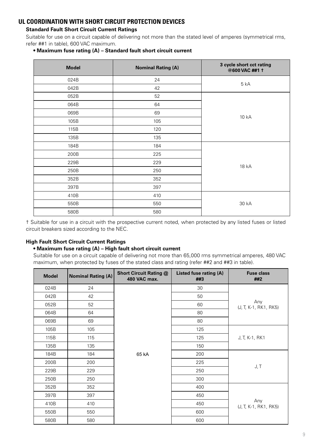### **UL COORDINATION WITH SHORT CIRCUIT PROTECTION DEVICES**

#### **Standard Fault Short Circuit Current Ratings**

Suitable for use on a circuit capable of delivering not more than the stated level of amperes (symmetrical rms, refer ##1 in table), 600 VAC maximum.

#### **• Maximum fuse rating (A) – Standard fault short circuit current**

| <b>Model</b> | <b>Nominal Rating (A)</b> | 3 cycle short cct rating<br>@600 VAC ##1 1 |  |
|--------------|---------------------------|--------------------------------------------|--|
| 024B         | 24                        | 5 kA                                       |  |
| 042B         | 42                        |                                            |  |
| 052B         | 52                        |                                            |  |
| 064B         | 64                        |                                            |  |
| 069B         | 69                        |                                            |  |
| 105B         | 105                       | 10 kA                                      |  |
| 115B         | 120                       |                                            |  |
| 135B         | 135                       |                                            |  |
| 184B         | 184                       |                                            |  |
| 200B         | 225                       |                                            |  |
| 229B         | 229                       |                                            |  |
| 250B         | 250                       | 18 kA                                      |  |
| 352B         | 352                       |                                            |  |
| 397B         | 397                       |                                            |  |
| 410B         | 410                       |                                            |  |
| 550B         | 550                       | 30 kA                                      |  |
| 580B         | 580                       |                                            |  |

† Suitable for use in a circuit with the prospective current noted, when protected by any listed fuses or listed circuit breakers sized according to the NEC.

#### **High Fault Short Circuit Current Ratings**

#### **• Maximum fuse rating (A) – High fault short circuit current**

Suitable for use on a circuit capable of delivering not more than 65,000 rms symmetrical amperes, 480 VAC maximum, when protected by fuses of the stated class and rating (refer ##2 and ##3 in table).

| <b>Model</b> | <b>Nominal Rating (A)</b> | <b>Short Circuit Rating @</b><br>480 VAC max. | Listed fuse rating (A)<br>##3 | <b>Fuse class</b><br>##2     |
|--------------|---------------------------|-----------------------------------------------|-------------------------------|------------------------------|
| 024B         | 24                        |                                               | 30                            |                              |
| 042B         | 42                        |                                               | 50                            |                              |
| 052B         | 52                        |                                               | 60                            | Any<br>(J, T, K-1, RK1, RK5) |
| 064B         | 64                        |                                               | 80                            |                              |
| 069B         | 69                        |                                               | 80                            |                              |
| 105B         | 105                       |                                               | 125                           |                              |
| 115B         | 115                       |                                               | 125                           | J, T, K-1, RK1               |
| 135B         | 135                       |                                               | 150                           |                              |
| 184B         | 184                       | 65 kA                                         | 200                           |                              |
| 200B         | 200                       |                                               | 225                           |                              |
| 229B         | 229                       |                                               | 250                           | J, T                         |
| 250B         | 250                       |                                               | 300                           |                              |
| 352B         | 352                       |                                               | 400                           |                              |
| 397B         | 397                       |                                               | 450                           |                              |
| 410B         | 410                       |                                               | 450                           | Any<br>(J, T, K-1, RK1, RK5) |
| 550B         | 550                       |                                               | 600                           |                              |
| 580B         | 580                       |                                               | 600                           |                              |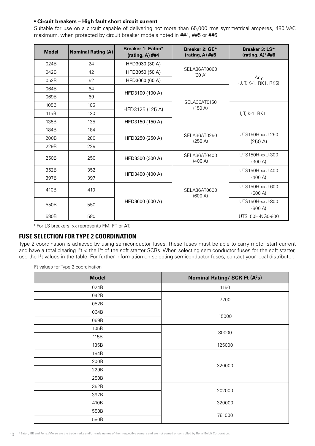#### **• Circuit breakers – High fault short circuit current**

Suitable for use on a circuit capable of delivering not more than 65,000 rms symmetrical amperes, 480 VAC maximum, when protected by circuit breaker models noted in ##4, ##5 or ##6.

| <b>Model</b> | <b>Nominal Rating (A)</b> | Breaker 1: Eaton*<br>(rating, A) $\#44$ | Breaker 2: GE*<br>(rating, A) ##5 | Breaker 3: LS*<br>(rating, A) $1$ ##6 |
|--------------|---------------------------|-----------------------------------------|-----------------------------------|---------------------------------------|
| 024B         | 24                        | HFD3030 (30 A)                          |                                   |                                       |
| 042B         | 42                        | HFD3050 (50 A)                          | SELA36AT0060<br>$(60 \text{ A})$  |                                       |
| 052B         | 52                        | HFD3060 (60 A)                          |                                   | Any<br>(J, T, K-1, RK1, RK5)          |
| 064B         | 64                        |                                         |                                   |                                       |
| 069B         | 69                        | HFD3100 (100 A)                         |                                   |                                       |
| 105B         | 105                       |                                         | SELA36AT0150<br>(150 A)           |                                       |
| 115B         | 120                       | HFD3125 (125 A)                         |                                   | J, T, K-1, RK1                        |
| 135B         | 135                       | HFD3150 (150 A)                         |                                   |                                       |
| 184B         | 184                       |                                         |                                   |                                       |
| 200B         | 200                       | HFD3250 (250 A)                         | SELA36AT0250<br>(250 A)           | UTS150H-xxU-250<br>(250 A)            |
| 229B         | 229                       |                                         |                                   |                                       |
| 250B         | 250                       | HFD3300 (300 A)                         | SELA36AT0400<br>(400 A)           | UTS150H-xxU-300<br>(300 A)            |
| 352B         | 352                       |                                         |                                   | UTS150H-xxU-400                       |
| 397B         | 397                       | HFD3400 (400 A)                         |                                   | (400 A)                               |
| 410B         | 410                       |                                         | SELA36AT0600<br>(600 A)           | UTS150H-xxU-600<br>(600 A)            |
| 550B         | 550                       | HFD3600 (600 A)                         |                                   | UTS150H-xxU-800<br>(800 A)            |
| 580B         | 580                       |                                         |                                   | UTS150H-NG0-800                       |

1 For LS breakers, xx represents FM, FT or AT.

#### **FUSE SELECTION FOR TYPE 2 COORDINATION**

Type 2 coordination is achieved by using semiconductor fuses. These fuses must be able to carry motor start current and have a total clearing  $l^2t$  < the  $l^2t$  of the soft starter SCRs. When selecting semiconductor fuses for the soft starter, use the <sup>12</sup>t values in the table. For further information on selecting semiconductor fuses, contact your local distributor.

I 2 t values for Type 2 coordination

| <b>Model</b> | Nominal Rating/ SCR I <sup>2</sup> t (A <sup>2</sup> s) |  |
|--------------|---------------------------------------------------------|--|
| 024B         | 1150                                                    |  |
| 042B         | 7200                                                    |  |
| 052B         |                                                         |  |
| 064B         | 15000                                                   |  |
| 069B         |                                                         |  |
| 105B         | 80000                                                   |  |
| 115B         |                                                         |  |
| 135B         | 125000                                                  |  |
| 184B         |                                                         |  |
| 200B         | 320000                                                  |  |
| 229B         |                                                         |  |
| 250B         |                                                         |  |
| 352B         | 202000                                                  |  |
| 397B         |                                                         |  |
| 410B         | 320000                                                  |  |
| 550B         | 781000                                                  |  |
| 580B         |                                                         |  |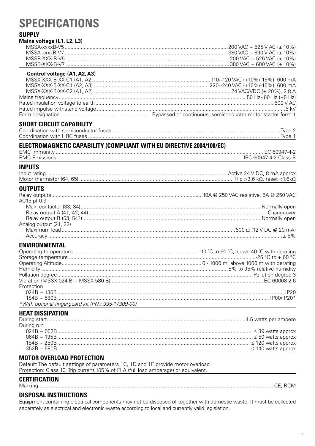## **SPECIFICATIONS**

### **SUPPLY**

| Mains voltage (L1, L2, L3)                                           |  |
|----------------------------------------------------------------------|--|
|                                                                      |  |
|                                                                      |  |
|                                                                      |  |
|                                                                      |  |
| Control voltage (A1, A2, A3)                                         |  |
|                                                                      |  |
|                                                                      |  |
|                                                                      |  |
|                                                                      |  |
|                                                                      |  |
|                                                                      |  |
|                                                                      |  |
| <b>SHORT CIRCUIT CAPABILITY</b>                                      |  |
|                                                                      |  |
|                                                                      |  |
|                                                                      |  |
| ELECTROMAGNETIC CAPABILITY (COMPLIANT WITH EU DIRECTIVE 2004/108/EC) |  |
|                                                                      |  |
|                                                                      |  |
| <b>INPUTS</b>                                                        |  |
|                                                                      |  |
|                                                                      |  |
| <b>OUTPUTS</b>                                                       |  |
|                                                                      |  |
| AC15 pf 0.3                                                          |  |
|                                                                      |  |
|                                                                      |  |
|                                                                      |  |
| Analog output (21, 22)                                               |  |
|                                                                      |  |
|                                                                      |  |
| <b>ENVIRONMENTAL</b>                                                 |  |
|                                                                      |  |
|                                                                      |  |
|                                                                      |  |
|                                                                      |  |
|                                                                      |  |
|                                                                      |  |
| Protection                                                           |  |
|                                                                      |  |
|                                                                      |  |
| *With optional fingerguard kit (PN.: 995-17309-00)                   |  |
| <b>HEAT DISSIPATION</b>                                              |  |
|                                                                      |  |
| During run                                                           |  |
|                                                                      |  |
|                                                                      |  |
|                                                                      |  |
|                                                                      |  |

#### **MOTOR OVERLOAD PROTECTION**

Default: The default settings of parameters 1C, 1D and 1E provide motor overload<br>Protection: Class 10, Trip current 105% of FLA (full load amperage) or equivalent.

### **CERTIFICATION**

| Ma | . . | ┒ |
|----|-----|---|
|    |     |   |

### **DISPOSAL INSTRUCTIONS**

Equipment containing electrical components may not be disposed of together with domestic waste. It must be collected separately as electrical and electronic waste according to local and currently valid legislation.